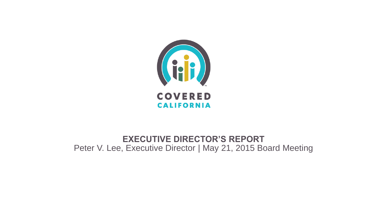

#### **EXECUTIVE DIRECTOR'S REPORT** Peter V. Lee, Executive Director | May 21, 2015 Board Meeting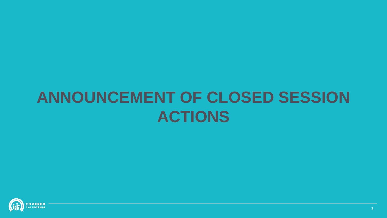# **ANNOUNCEMENT OF CLOSED SESSION ACTIONS**

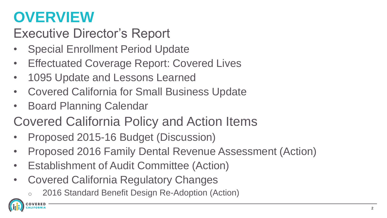## **OVERVIEW**

#### Executive Director's Report

- Special Enrollment Period Update
- Effectuated Coverage Report: Covered Lives
- 1095 Update and Lessons Learned
- Covered California for Small Business Update
- Board Planning Calendar
- Covered California Policy and Action Items
- Proposed 2015-16 Budget (Discussion)
- Proposed 2016 Family Dental Revenue Assessment (Action)
- Establishment of Audit Committee (Action)
- Covered California Regulatory Changes
	- 2016 Standard Benefit Design Re-Adoption (Action)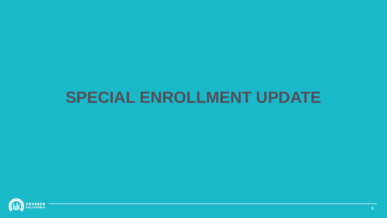#### **SPECIAL ENROLLMENT UPDATE**

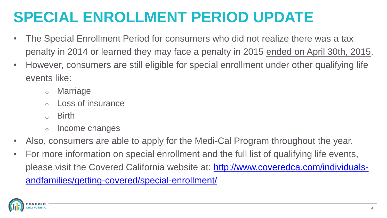## **SPECIAL ENROLLMENT PERIOD UPDATE**

- The Special Enrollment Period for consumers who did not realize there was a tax penalty in 2014 or learned they may face a penalty in 2015 ended on April 30th, 2015.
- However, consumers are still eligible for special enrollment under other qualifying life events like:
	- o Marriage
	- Loss of insurance
	- **Birth**
	- o Income changes
- Also, consumers are able to apply for the Medi-Cal Program throughout the year.
- For more information on special enrollment and the full list of qualifying life events, [please visit the Covered California website at: http://www.coveredca.com/individuals](http://www.coveredca.com/individuals-andfamilies/getting-covered/special-enrollment/)andfamilies/getting-covered/special-enrollment/

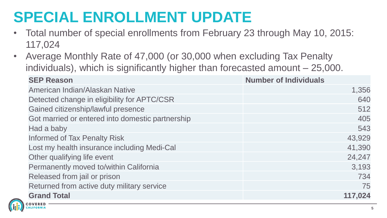## **SPECIAL ENROLLMENT UPDATE**

- Total number of special enrollments from February 23 through May 10, 2015: 117,024
- Average Monthly Rate of 47,000 (or 30,000 when excluding Tax Penalty individuals), which is significantly higher than forecasted amount – 25,000.

| <b>SEP Reason</b>                                | <b>Number of Individuals</b> |
|--------------------------------------------------|------------------------------|
| American Indian/Alaskan Native                   | 1,356                        |
| Detected change in eligibility for APTC/CSR      | 640                          |
| Gained citizenship/lawful presence               | 512                          |
| Got married or entered into domestic partnership | 405                          |
| Had a baby                                       | 543                          |
| <b>Informed of Tax Penalty Risk</b>              | 43,929                       |
| Lost my health insurance including Medi-Cal      | 41,390                       |
| Other qualifying life event                      | 24,247                       |
| Permanently moved to/within California           | 3,193                        |
| Released from jail or prison                     | 734                          |
| Returned from active duty military service       | 75                           |
| <b>Grand Total</b>                               | 117,024                      |
|                                                  |                              |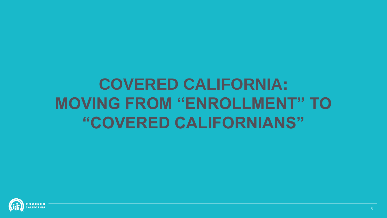# **COVERED CALIFORNIA: MOVING FROM "ENROLLMENT" TO "COVERED CALIFORNIANS"**

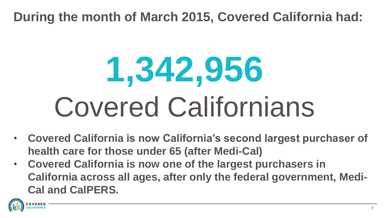#### **During the month of March 2015, Covered California had:**

# **1,342,956** Covered Californians

- **Covered California is now California's second largest purchaser of health care for those under 65 (after Medi-Cal)**
- **Covered California is now one of the largest purchasers in California across all ages, after only the federal government, Medi-Cal and CalPERS.**

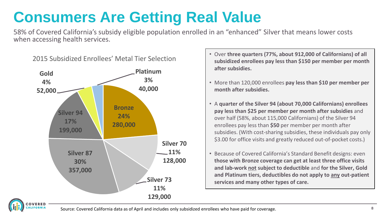## **Consumers Are Getting Real Value**

58% of Covered California's subsidy eligible population enrolled in an "enhanced" Silver that means lower costs when accessing health services.



- 
- 2015 Subsidized Enrollees' Metal Tier Selection Over **three quarters (77%, about 912,000 of Californians) of all subsidized enrollees pay less than \$150 per member per month after subsidies.**
	- More than 120,000 enrollees **pay less than \$10 per member per month after subsidies.**
	- A **quarter of the Silver 94 (about 70,000 Californians) enrollees pay less than \$25 per member per month after subsidies** and over half (58%, about 115,000 Californians) of the Silver 94 enrollees pay less than **\$50** per member per month after subsidies. (With cost-sharing subsidies, these individuals pay only \$3.00 for office visits and greatly reduced out-of-pocket costs.)
	- Because of Covered California's Standard Benefit designs: even **those with Bronze coverage can get at least three office visits and lab-work not subject to deductible** and **for the Silver, Gold and Platinum tiers, deductibles do not apply to any out-patient services and many other types of care.**

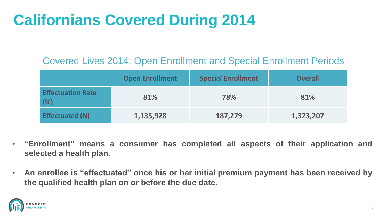#### **Californians Covered During 2014**

#### Covered Lives 2014: Open Enrollment and Special Enrollment Periods

|                                 | <b>Open Enrollment</b> | <b>Special Enrollment</b> | <b>Overall</b> |
|---------------------------------|------------------------|---------------------------|----------------|
| <b>Effectuation Rate</b><br>(%) | 81%                    | 78%                       | 81%            |
| <b>Effectuated (N)</b>          | 1,135,928              | 187,279                   | 1,323,207      |

- **"Enrollment" means a consumer has completed all aspects of their application and selected a health plan.**
- **An enrollee is "effectuated" once his or her initial premium payment has been received by the qualified health plan on or before the due date.**

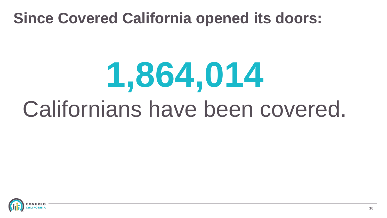#### **Since Covered California opened its doors:**

# **1,864,014** Californians have been covered.

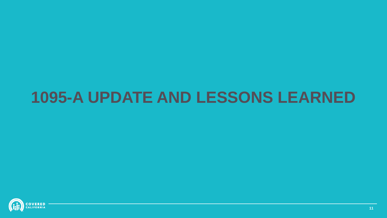#### **1095-A UPDATE AND LESSONS LEARNED**

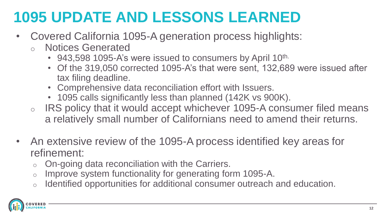## **1095 UPDATE AND LESSONS LEARNED**

- Covered California 1095-A generation process highlights:
	- Notices Generated
		- 943,598 1095-A's were issued to consumers by April  $10<sup>th</sup>$ .
		- Of the 319,050 corrected 1095-A's that were sent, 132,689 were issued after tax filing deadline.
		- Comprehensive data reconciliation effort with Issuers.
		- 1095 calls significantly less than planned (142K vs 900K).
	- o IRS policy that it would accept whichever 1095-A consumer filed means a relatively small number of Californians need to amend their returns.
- An extensive review of the 1095-A process identified key areas for refinement:
	- $\circ$  On-going data reconciliation with the Carriers.
	- o Improve system functionality for generating form 1095-A.
	- o Identified opportunities for additional consumer outreach and education.

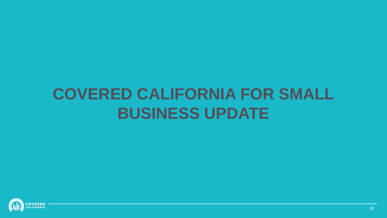## **COVERED CALIFORNIA FOR SMALL BUSINESS UPDATE**

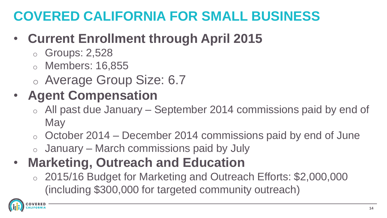#### **COVERED CALIFORNIA FOR SMALL BUSINESS**

#### • **Current Enrollment through April 2015**

- o Groups: 2,528
- o Members: 16,855
- o Average Group Size: 6.7

#### • **Agent Compensation**

- $\circ$  All past due January September 2014 commissions paid by end of **May**
- $\circ$  October 2014 December 2014 commissions paid by end of June
- $\circ$  January March commissions paid by July

#### • **Marketing, Outreach and Education**

o 2015/16 Budget for Marketing and Outreach Efforts: \$2,000,000 (including \$300,000 for targeted community outreach)

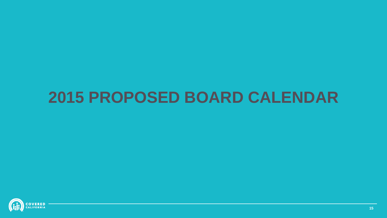#### **2015 PROPOSED BOARD CALENDAR**

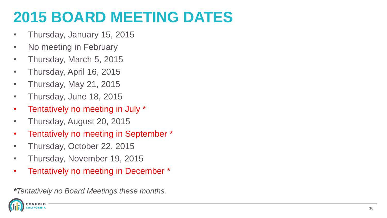#### **2015 BOARD MEETING DATES**

- Thursday, January 15, 2015
- No meeting in February
- Thursday, March 5, 2015
- Thursday, April 16, 2015
- Thursday, May 21, 2015
- Thursday, June 18, 2015
- Tentatively no meeting in July \*
- Thursday, August 20, 2015
- Tentatively no meeting in September \*
- Thursday, October 22, 2015
- Thursday, November 19, 2015
- Tentatively no meeting in December \*

*\*Tentatively no Board Meetings these months.*

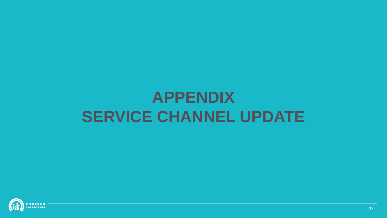# **APPENDIX SERVICE CHANNEL UPDATE**

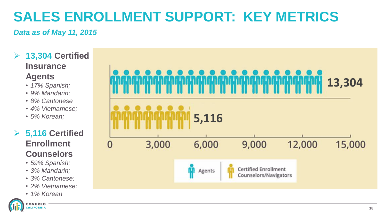#### **SALES ENROLLMENT SUPPORT: KEY METRICS**

#### *Data as of May 11, 2015*

- **13,304 Certified Insurance Agents 13,304**  • *17% Spanish;*  • *9% Mandarin;*  • *8% Cantonese* • *4% Vietnamese;*  • *5% Korean;*  **5,116 5,116 Certified Enrollment**  3,000 6,000 9,000 12,000 15,000  $\Omega$ **Counselors** • *59% Spanish;*  **Certified Enrollment** • *3% Mandarin;*  Agents Counselors/Navigators • *3% Cantonese;*  • *2% Vietnamese;* 
	- *1% Korean*

**OVEDED** LIFORNIA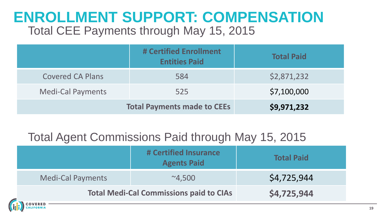#### **ENROLLMENT SUPPORT: COMPENSATION** Total CEE Payments through May 15, 2015

|                         | # Certified Enrollment<br><b>Entities Paid</b> | <b>Total Paid</b> |
|-------------------------|------------------------------------------------|-------------------|
| <b>Covered CA Plans</b> | 584                                            | \$2,871,232       |
| Medi-Cal Payments       | 525                                            | \$7,100,000       |
|                         | <b>Total Payments made to CEEs</b>             | \$9,971,232       |

#### Total Agent Commissions Paid through May 15, 2015

|                                                | # Certified Insurance<br><b>Agents Paid</b> | <b>Total Paid</b> |
|------------------------------------------------|---------------------------------------------|-------------------|
| <b>Medi-Cal Payments</b>                       | $^{\sim}4.500$                              | \$4,725,944       |
| <b>Total Medi-Cal Commissions paid to CIAs</b> | \$4,725,944                                 |                   |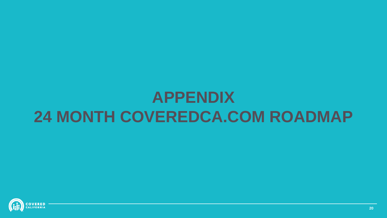## **APPENDIX 24 MONTH COVEREDCA.COM ROADMAP**

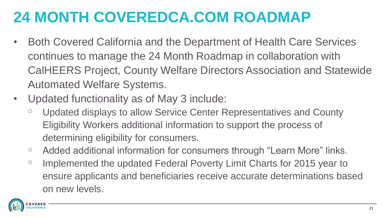#### **24 MONTH COVEREDCA.COM ROADMAP**

- Both Covered California and the Department of Health Care Services continues to manage the 24 Month Roadmap in collaboration with CalHEERS Project, County Welfare Directors Association and Statewide Automated Welfare Systems.
- Updated functionality as of May 3 include:
	- <sup>o</sup> Updated displays to allow Service Center Representatives and County Eligibility Workers additional information to support the process of determining eligibility for consumers.
	- <sup>o</sup> Added additional information for consumers through "Learn More" links.
	- Implemented the updated Federal Poverty Limit Charts for 2015 year to ensure applicants and beneficiaries receive accurate determinations based on new levels.

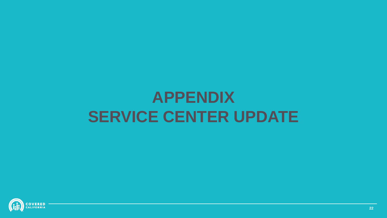# **APPENDIX SERVICE CENTER UPDATE**

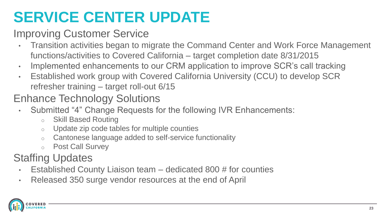### **SERVICE CENTER UPDATE**

#### Improving Customer Service

- Transition activities began to migrate the Command Center and Work Force Management functions/activities to Covered California – target completion date 8/31/2015
- Implemented enhancements to our CRM application to improve SCR's call tracking
- Established work group with Covered California University (CCU) to develop SCR refresher training – target roll-out 6/15

#### Enhance Technology Solutions

- Submitted "4" Change Requests for the following IVR Enhancements:
	- o Skill Based Routing
	- $\circ$  Update zip code tables for multiple counties
	- o Cantonese language added to self-service functionality
	- o Post Call Survey

#### Staffing Updates

- Established County Liaison team dedicated 800 # for counties
- Released 350 surge vendor resources at the end of April

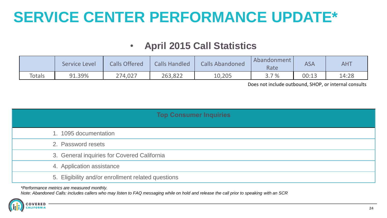#### **SERVICE CENTER PERFORMANCE UPDATE\***

#### • **April 2015 Call Statistics**

|        | Service Level | <b>Calls Offered</b> | <b>Calls Handled</b> | <b>Calls Abandoned</b> | Abandonment<br>Rate | ASA   | <b>AHT</b> |
|--------|---------------|----------------------|----------------------|------------------------|---------------------|-------|------------|
| Totals | 91.39%        | 274,027              | 263,822              | 10,205                 | 3.7%                | 00:13 | 14:28      |

Does not include outbound, SHOP, or internal consults

| <b>Top Consumer Inquiries</b>                      |  |  |  |
|----------------------------------------------------|--|--|--|
| 1. 1095 documentation                              |  |  |  |
| 2. Password resets                                 |  |  |  |
| 3. General inquiries for Covered California        |  |  |  |
| 4. Application assistance                          |  |  |  |
| 5. Eligibility and/or enrollment related questions |  |  |  |

*\*Performance metrics are measured monthly.*

*Note: Abandoned Calls: includes callers who may listen to FAQ messaging while on hold and release the call prior to speaking with an SCR*

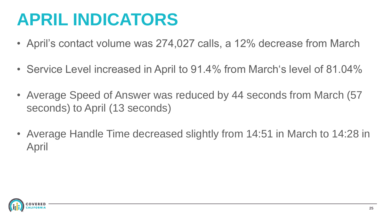# **APRIL INDICATORS**

- April's contact volume was 274,027 calls, a 12% decrease from March
- Service Level increased in April to 91.4% from March's level of 81.04%
- Average Speed of Answer was reduced by 44 seconds from March (57 seconds) to April (13 seconds)
- Average Handle Time decreased slightly from 14:51 in March to 14:28 in April